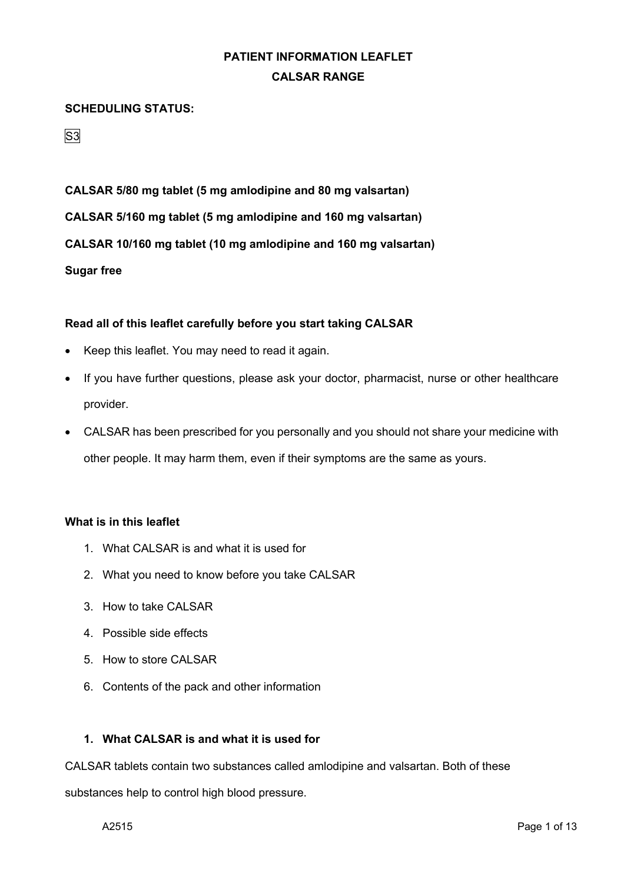#### **SCHEDULING STATUS:**

S<sub>3</sub>

**CALSAR 5/80 mg tablet (5 mg amlodipine and 80 mg valsartan) CALSAR 5/160 mg tablet (5 mg amlodipine and 160 mg valsartan) CALSAR 10/160 mg tablet (10 mg amlodipine and 160 mg valsartan) Sugar free**

#### **Read all of this leaflet carefully before you start taking CALSAR**

- Keep this leaflet. You may need to read it again.
- If you have further questions, please ask your doctor, pharmacist, nurse or other healthcare provider.
- CALSAR has been prescribed for you personally and you should not share your medicine with other people. It may harm them, even if their symptoms are the same as yours.

#### **What is in this leaflet**

- 1. What CALSAR is and what it is used for
- 2. What you need to know before you take CALSAR
- 3. How to take CALSAR
- 4. Possible side effects
- 5. How to store CALSAR
- 6. Contents of the pack and other information

### **1. What CALSAR is and what it is used for**

CALSAR tablets contain two substances called amlodipine and valsartan. Both of these

substances help to control high blood pressure.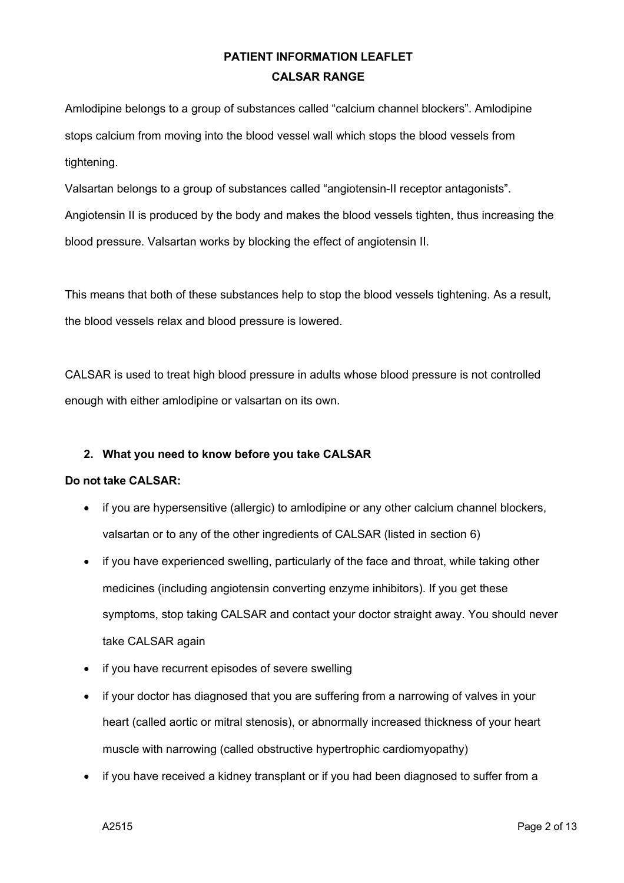Amlodipine belongs to a group of substances called "calcium channel blockers". Amlodipine stops calcium from moving into the blood vessel wall which stops the blood vessels from tightening.

Valsartan belongs to a group of substances called "angiotensin-II receptor antagonists". Angiotensin II is produced by the body and makes the blood vessels tighten, thus increasing the blood pressure. Valsartan works by blocking the effect of angiotensin II.

This means that both of these substances help to stop the blood vessels tightening. As a result, the blood vessels relax and blood pressure is lowered.

CALSAR is used to treat high blood pressure in adults whose blood pressure is not controlled enough with either amlodipine or valsartan on its own.

### **2. What you need to know before you take CALSAR**

### **Do not take CALSAR:**

- if you are hypersensitive (allergic) to amlodipine or any other calcium channel blockers, valsartan or to any of the other ingredients of CALSAR (listed in section 6)
- if you have experienced swelling, particularly of the face and throat, while taking other medicines (including angiotensin converting enzyme inhibitors). If you get these symptoms, stop taking CALSAR and contact your doctor straight away. You should never take CALSAR again
- if you have recurrent episodes of severe swelling
- if your doctor has diagnosed that you are suffering from a narrowing of valves in your heart (called aortic or mitral stenosis), or abnormally increased thickness of your heart muscle with narrowing (called obstructive hypertrophic cardiomyopathy)
- if you have received a kidney transplant or if you had been diagnosed to suffer from a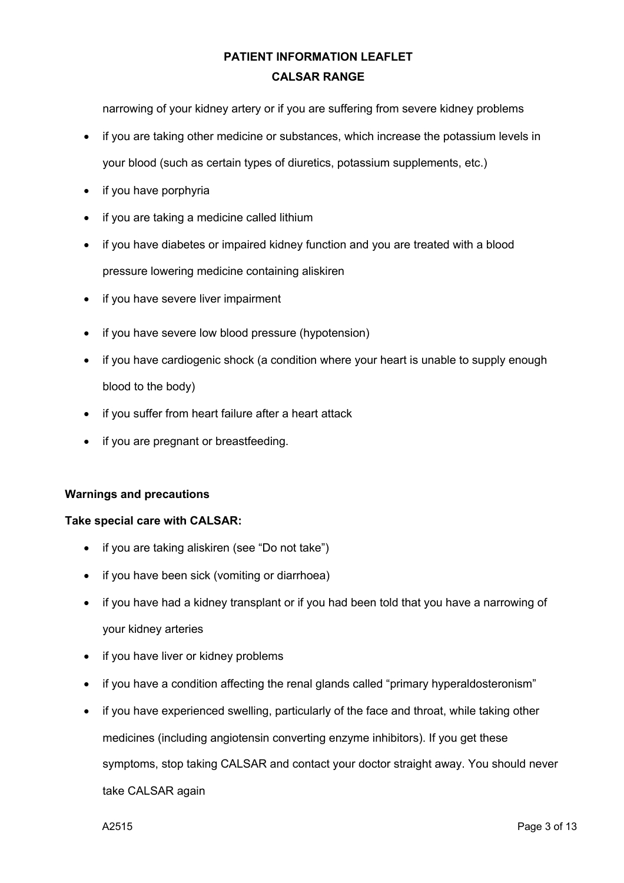narrowing of your kidney artery or if you are suffering from severe kidney problems

- if you are taking other medicine or substances, which increase the potassium levels in your blood (such as certain types of diuretics, potassium supplements, etc.)
- if you have porphyria
- if you are taking a medicine called lithium
- if you have diabetes or impaired kidney function and you are treated with a blood pressure lowering medicine containing aliskiren
- if you have severe liver impairment
- if you have severe low blood pressure (hypotension)
- if you have cardiogenic shock (a condition where your heart is unable to supply enough blood to the body)
- if you suffer from heart failure after a heart attack
- if you are pregnant or breastfeeding.

#### **Warnings and precautions**

#### **Take special care with CALSAR:**

- if you are taking aliskiren (see "Do not take")
- if you have been sick (vomiting or diarrhoea)
- if you have had a kidney transplant or if you had been told that you have a narrowing of your kidney arteries
- if you have liver or kidney problems
- if you have a condition affecting the renal glands called "primary hyperaldosteronism"
- if you have experienced swelling, particularly of the face and throat, while taking other medicines (including angiotensin converting enzyme inhibitors). If you get these symptoms, stop taking CALSAR and contact your doctor straight away. You should never take CALSAR again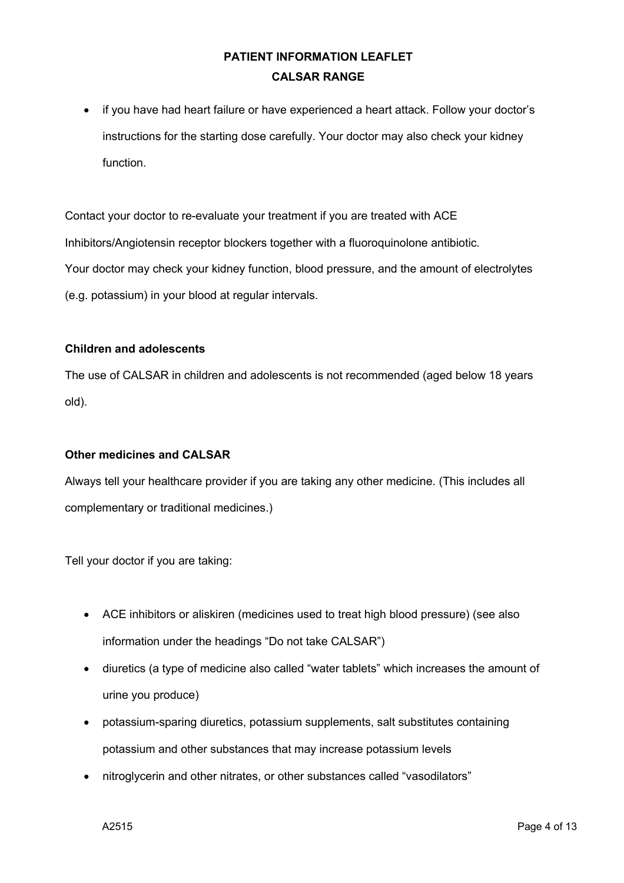• if you have had heart failure or have experienced a heart attack. Follow your doctor's instructions for the starting dose carefully. Your doctor may also check your kidney function.

Contact your doctor to re-evaluate your treatment if you are treated with ACE Inhibitors/Angiotensin receptor blockers together with a fluoroquinolone antibiotic. Your doctor may check your kidney function, blood pressure, and the amount of electrolytes (e.g. potassium) in your blood at regular intervals.

#### **Children and adolescents**

The use of CALSAR in children and adolescents is not recommended (aged below 18 years old).

#### **Other medicines and CALSAR**

Always tell your healthcare provider if you are taking any other medicine. (This includes all complementary or traditional medicines.)

Tell your doctor if you are taking:

- ACE inhibitors or aliskiren (medicines used to treat high blood pressure) (see also information under the headings "Do not take CALSAR")
- diuretics (a type of medicine also called "water tablets" which increases the amount of urine you produce)
- potassium-sparing diuretics, potassium supplements, salt substitutes containing potassium and other substances that may increase potassium levels
- nitroglycerin and other nitrates, or other substances called "vasodilators"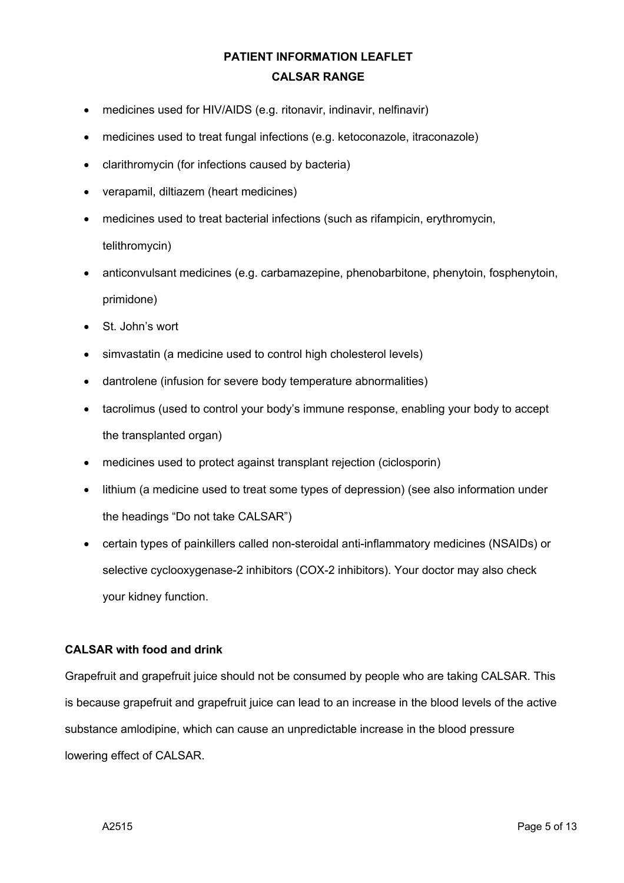- medicines used for HIV/AIDS (e.g. ritonavir, indinavir, nelfinavir)
- medicines used to treat fungal infections (e.g. ketoconazole, itraconazole)
- clarithromycin (for infections caused by bacteria)
- verapamil, diltiazem (heart medicines)
- medicines used to treat bacterial infections (such as rifampicin, erythromycin, telithromycin)
- anticonvulsant medicines (e.g. carbamazepine, phenobarbitone, phenytoin, fosphenytoin, primidone)
- St. John's wort
- simvastatin (a medicine used to control high cholesterol levels)
- dantrolene (infusion for severe body temperature abnormalities)
- tacrolimus (used to control your body's immune response, enabling your body to accept the transplanted organ)
- medicines used to protect against transplant rejection (ciclosporin)
- lithium (a medicine used to treat some types of depression) (see also information under the headings "Do not take CALSAR")
- certain types of painkillers called non-steroidal anti-inflammatory medicines (NSAIDs) or selective cyclooxygenase-2 inhibitors (COX-2 inhibitors). Your doctor may also check your kidney function.

### **CALSAR with food and drink**

Grapefruit and grapefruit juice should not be consumed by people who are taking CALSAR. This is because grapefruit and grapefruit juice can lead to an increase in the blood levels of the active substance amlodipine, which can cause an unpredictable increase in the blood pressure lowering effect of CALSAR.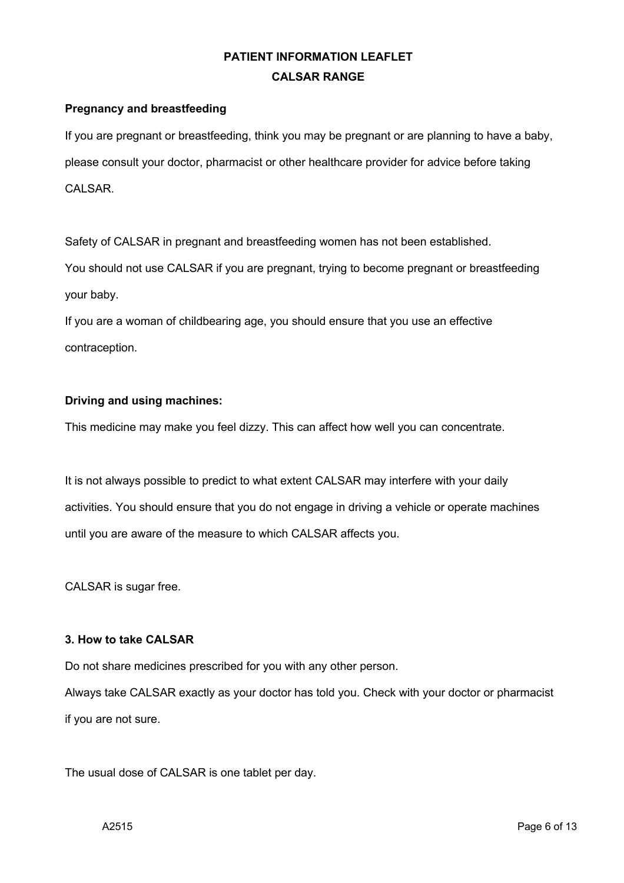### **Pregnancy and breastfeeding**

If you are pregnant or breastfeeding, think you may be pregnant or are planning to have a baby, please consult your doctor, pharmacist or other healthcare provider for advice before taking CALSAR.

Safety of CALSAR in pregnant and breastfeeding women has not been established.

You should not use CALSAR if you are pregnant, trying to become pregnant or breastfeeding your baby.

If you are a woman of childbearing age, you should ensure that you use an effective contraception.

### **Driving and using machines:**

This medicine may make you feel dizzy. This can affect how well you can concentrate.

It is not always possible to predict to what extent CALSAR may interfere with your daily activities. You should ensure that you do not engage in driving a vehicle or operate machines until you are aware of the measure to which CALSAR affects you.

CALSAR is sugar free.

#### **3. How to take CALSAR**

Do not share medicines prescribed for you with any other person.

Always take CALSAR exactly as your doctor has told you. Check with your doctor or pharmacist if you are not sure.

The usual dose of CALSAR is one tablet per day.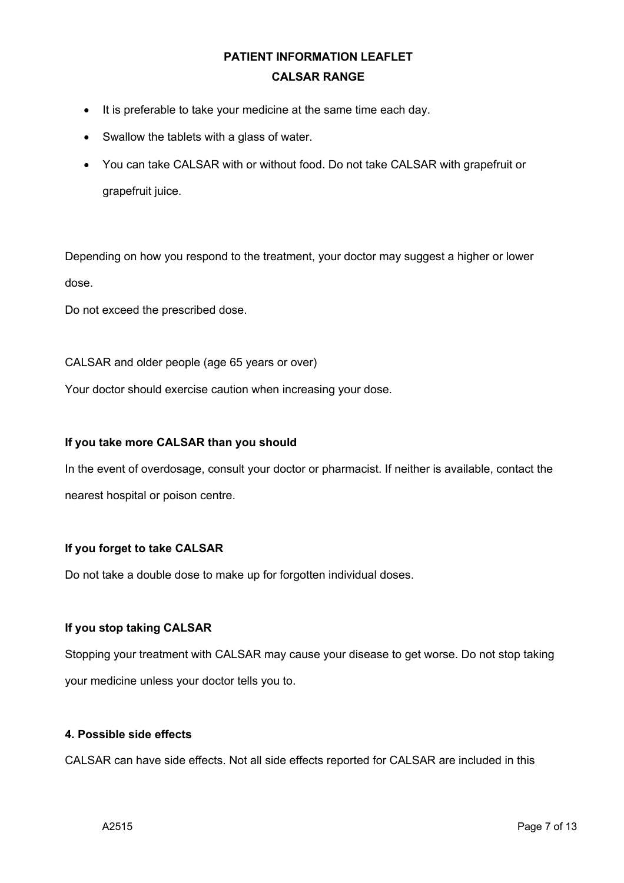- It is preferable to take your medicine at the same time each day.
- Swallow the tablets with a glass of water.
- You can take CALSAR with or without food. Do not take CALSAR with grapefruit or grapefruit juice.

Depending on how you respond to the treatment, your doctor may suggest a higher or lower dose.

Do not exceed the prescribed dose.

CALSAR and older people (age 65 years or over)

Your doctor should exercise caution when increasing your dose.

#### **If you take more CALSAR than you should**

In the event of overdosage, consult your doctor or pharmacist. If neither is available, contact the nearest hospital or poison centre.

#### **If you forget to take CALSAR**

Do not take a double dose to make up for forgotten individual doses.

### **If you stop taking CALSAR**

Stopping your treatment with CALSAR may cause your disease to get worse. Do not stop taking your medicine unless your doctor tells you to.

### **4. Possible side effects**

CALSAR can have side effects. Not all side effects reported for CALSAR are included in this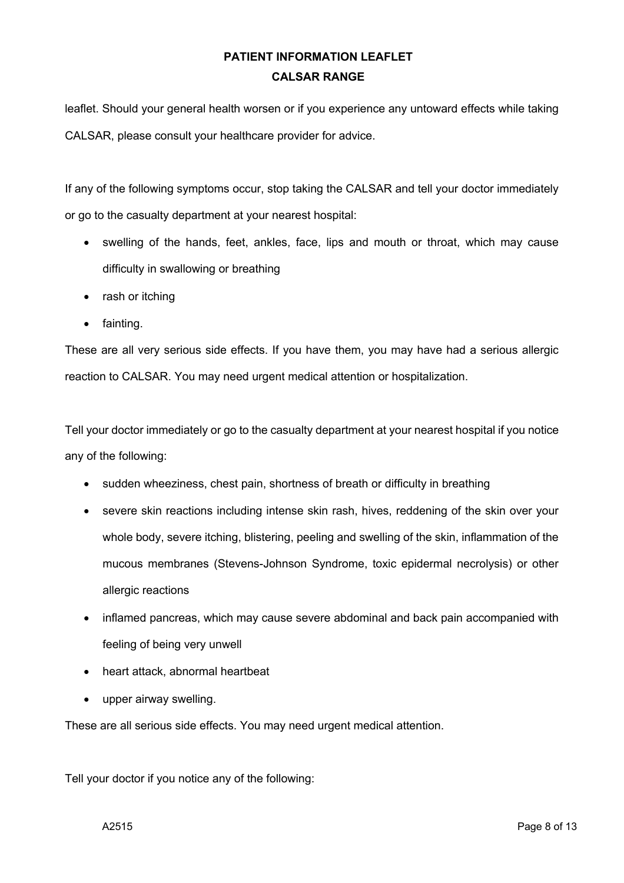leaflet. Should your general health worsen or if you experience any untoward effects while taking CALSAR, please consult your healthcare provider for advice.

If any of the following symptoms occur, stop taking the CALSAR and tell your doctor immediately or go to the casualty department at your nearest hospital:

- swelling of the hands, feet, ankles, face, lips and mouth or throat, which may cause difficulty in swallowing or breathing
- rash or itching
- fainting.

These are all very serious side effects. If you have them, you may have had a serious allergic reaction to CALSAR. You may need urgent medical attention or hospitalization.

Tell your doctor immediately or go to the casualty department at your nearest hospital if you notice any of the following:

- sudden wheeziness, chest pain, shortness of breath or difficulty in breathing
- severe skin reactions including intense skin rash, hives, reddening of the skin over your whole body, severe itching, blistering, peeling and swelling of the skin, inflammation of the mucous membranes (Stevens-Johnson Syndrome, toxic epidermal necrolysis) or other allergic reactions
- inflamed pancreas, which may cause severe abdominal and back pain accompanied with feeling of being very unwell
- heart attack, abnormal heartbeat
- upper airway swelling.

These are all serious side effects. You may need urgent medical attention.

Tell your doctor if you notice any of the following: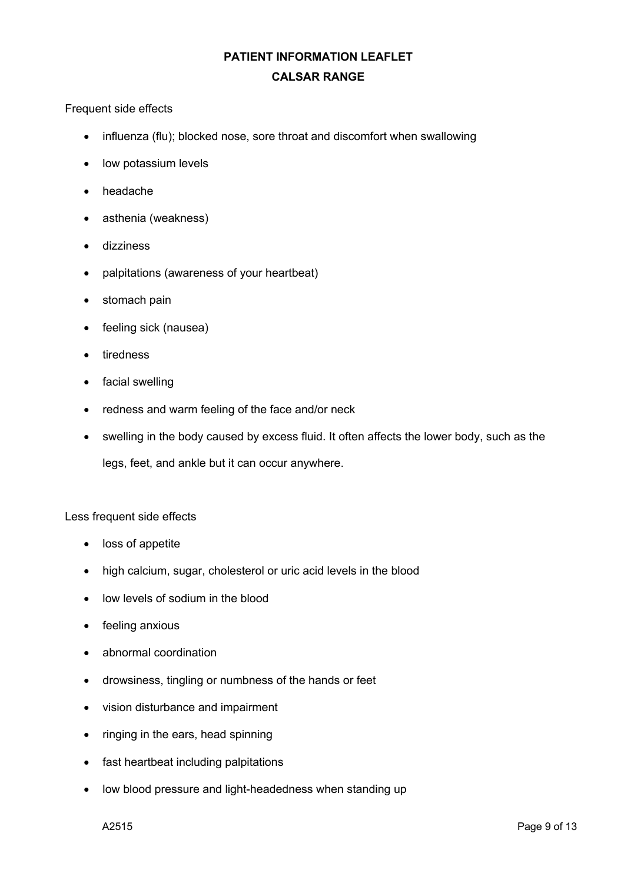#### Frequent side effects

- influenza (flu); blocked nose, sore throat and discomfort when swallowing
- low potassium levels
- headache
- asthenia (weakness)
- dizziness
- palpitations (awareness of your heartbeat)
- stomach pain
- feeling sick (nausea)
- tiredness
- facial swelling
- redness and warm feeling of the face and/or neck
- swelling in the body caused by excess fluid. It often affects the lower body, such as the

legs, feet, and ankle but it can occur anywhere.

#### Less frequent side effects

- loss of appetite
- high calcium, sugar, cholesterol or uric acid levels in the blood
- low levels of sodium in the blood
- feeling anxious
- abnormal coordination
- drowsiness, tingling or numbness of the hands or feet
- vision disturbance and impairment
- ringing in the ears, head spinning
- fast heartbeat including palpitations
- low blood pressure and light-headedness when standing up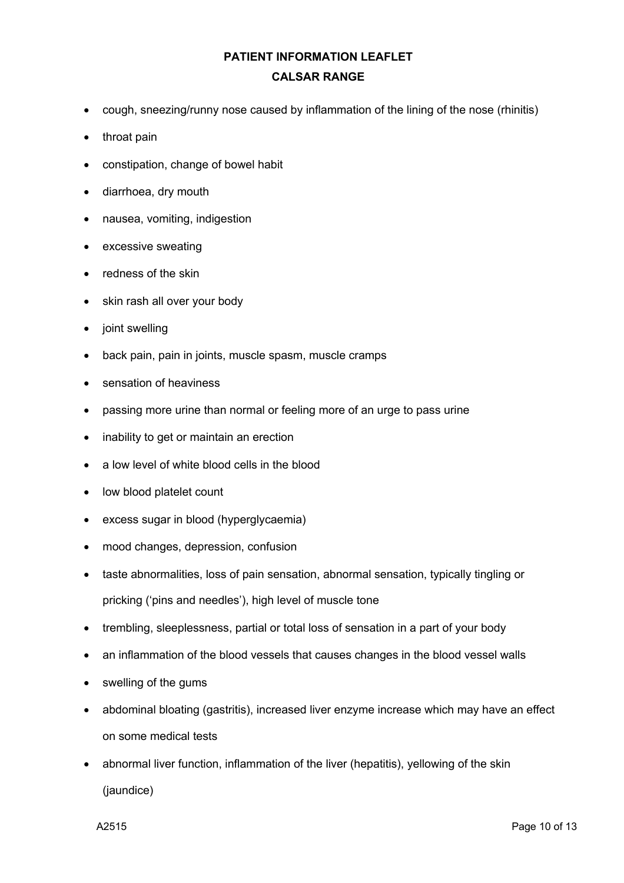- cough, sneezing/runny nose caused by inflammation of the lining of the nose (rhinitis)
- throat pain
- constipation, change of bowel habit
- diarrhoea, dry mouth
- nausea, vomiting, indigestion
- excessive sweating
- redness of the skin
- skin rash all over your body
- joint swelling
- back pain, pain in joints, muscle spasm, muscle cramps
- sensation of heaviness
- passing more urine than normal or feeling more of an urge to pass urine
- inability to get or maintain an erection
- a low level of white blood cells in the blood
- low blood platelet count
- excess sugar in blood (hyperglycaemia)
- mood changes, depression, confusion
- taste abnormalities, loss of pain sensation, abnormal sensation, typically tingling or pricking ('pins and needles'), high level of muscle tone
- trembling, sleeplessness, partial or total loss of sensation in a part of your body
- an inflammation of the blood vessels that causes changes in the blood vessel walls
- swelling of the gums
- abdominal bloating (gastritis), increased liver enzyme increase which may have an effect on some medical tests
- abnormal liver function, inflammation of the liver (hepatitis), yellowing of the skin (jaundice)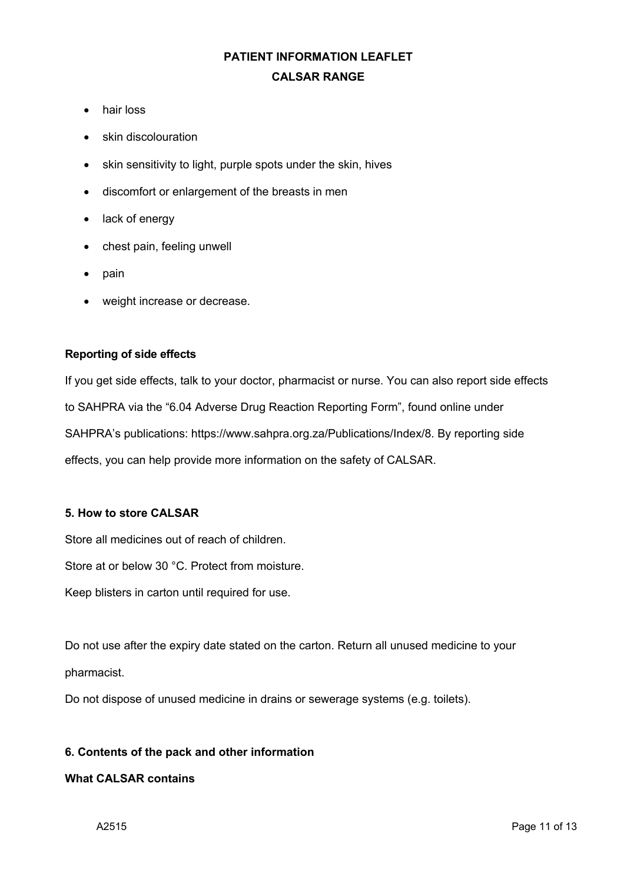- hair loss
- skin discolouration
- skin sensitivity to light, purple spots under the skin, hives
- discomfort or enlargement of the breasts in men
- lack of energy
- chest pain, feeling unwell
- pain
- weight increase or decrease.

#### **Reporting of side effects**

If you get side effects, talk to your doctor, pharmacist or nurse. You can also report side effects to SAHPRA via the "6.04 Adverse Drug Reaction Reporting Form", found online under SAHPRA's publications: https://www.sahpra.org.za/Publications/Index/8. By reporting side effects, you can help provide more information on the safety of CALSAR.

### **5. How to store CALSAR**

Store all medicines out of reach of children.

Store at or below 30 °C. Protect from moisture.

Keep blisters in carton until required for use.

Do not use after the expiry date stated on the carton. Return all unused medicine to your pharmacist.

Do not dispose of unused medicine in drains or sewerage systems (e.g. toilets).

#### **6. Contents of the pack and other information**

#### **What CALSAR contains**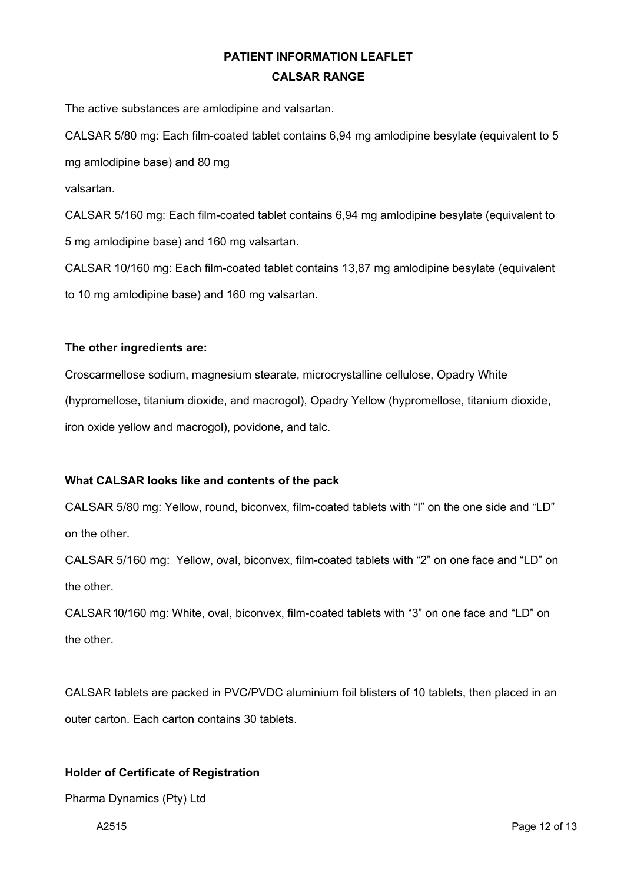The active substances are amlodipine and valsartan.

CALSAR 5/80 mg: Each film-coated tablet contains 6,94 mg amlodipine besylate (equivalent to 5 mg amlodipine base) and 80 mg

valsartan.

CALSAR 5/160 mg: Each film-coated tablet contains 6,94 mg amlodipine besylate (equivalent to 5 mg amlodipine base) and 160 mg valsartan.

CALSAR 10/160 mg: Each film-coated tablet contains 13,87 mg amlodipine besylate (equivalent to 10 mg amlodipine base) and 160 mg valsartan.

### **The other ingredients are:**

Croscarmellose sodium, magnesium stearate, microcrystalline cellulose, Opadry White (hypromellose, titanium dioxide, and macrogol), Opadry Yellow (hypromellose, titanium dioxide, iron oxide yellow and macrogol), povidone, and talc.

#### **What CALSAR looks like and contents of the pack**

CALSAR 5/80 mg: Yellow, round, biconvex, film-coated tablets with "I" on the one side and "LD" on the other.

CALSAR 5/160 mg: Yellow, oval, biconvex, film-coated tablets with "2" on one face and "LD" on the other.

CALSAR 10/160 mg: White, oval, biconvex, film-coated tablets with "3" on one face and "LD" on the other.

CALSAR tablets are packed in PVC/PVDC aluminium foil blisters of 10 tablets, then placed in an outer carton. Each carton contains 30 tablets.

### **Holder of Certificate of Registration**

Pharma Dynamics (Pty) Ltd